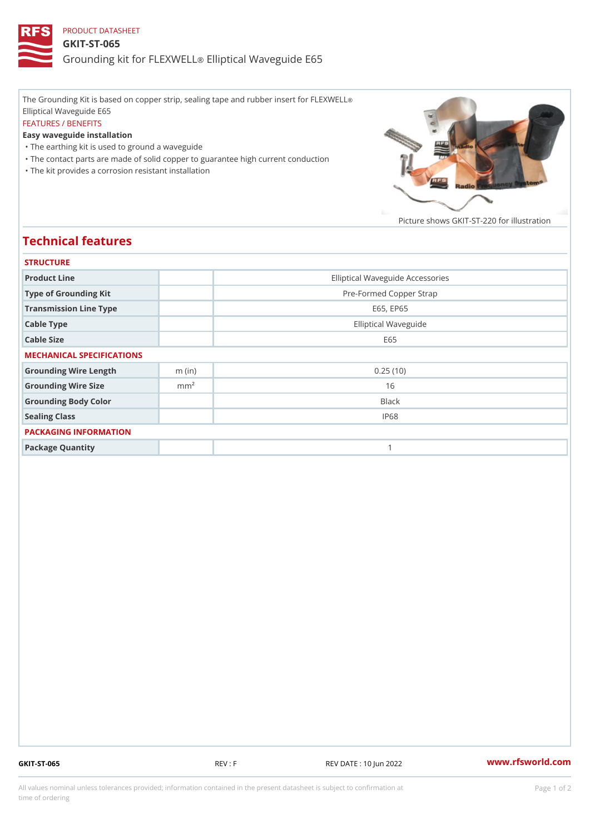## PRODUCT DATASHEET GKIT-ST-065 Grounding kit for **ELEIXIVE tal** Waveguide E65

The Grounding Kit is based on copper strip, sealing tape and rubber insert for FLEXWELL ® Elliptical Waveguide E65 FEATURES / BENEFITS Easy waveguide installation "The earthing kit is used to ground a waveguide "The contact parts are made of solid copper to guarantee high current conduction

"The kit provides a corrosion resistant installation

Picture shows  $GKIT-ST-220$  for ill

## Technical features

| <b>STRUCTURE</b>          |                  |                                  |
|---------------------------|------------------|----------------------------------|
| Product Line              |                  | Elliptical Waveguide Accessories |
| Type of Grounding Kit     |                  | Pre-Formed Copper Strap          |
| Transmission Line Type    |                  | E65, EP65                        |
| Cable Type                |                  | Elliptical Waveguide             |
| Cable Size                |                  | E 6 5                            |
| MECHANICAL SPECIFICATIONS |                  |                                  |
| Grounding Wire Length     | $m$ (in)         | 0.25(10)                         |
| Grounding Wire Size       | m m <sup>2</sup> | 16                               |
| Grounding Body Color      |                  | Black                            |
| Sealing Class             |                  | IP68                             |
| PACKAGING INFORMATION     |                  |                                  |
| Package Quantity          |                  | 1                                |

GKIT-ST-065 REV : F REV DATE : 10 Jun 2022 [www.](https://www.rfsworld.com)rfsworld.com